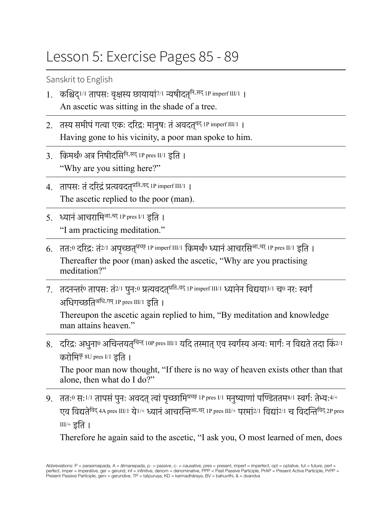## Lesson 5: Exercise Pages 85 - 89

Sanskrit to English

- 1. कश्चिद्‼। तापसः वृक्षस्य छायायां™ न्यषीदत्<sup>नि</sup> An ascetic was sitting in the shade of a tree.
- 2. तस्य समीपं गत्वा एकः दरिद्रः मानुषः तं अवदत्<sup>वद् 1P imperf III/1</sup> । Having gone to his vicinity, a poor man spoke to him.
- 3. किमर्थं $0$  अत्र निषीदसि<sup>नि-सद् 1P pres II/1 इति ।</sup> "Why are you sitting here?"
- 4. तापसः तं दरिद्रं प्रत्यवदत<sup>प्रति-वद् 1P imperf III/1</sup>। The ascetic replied to the poor (man).
- 5. ध्यानं आचरामि<sup>आ-चर् 1P pres I/1 डुति ।</sup> "I am practicing meditation."
- 6. ततः<sup>0</sup> दरिद्रः तं<sup>2/1</sup> अपच्छत्<sup>प्रच्छ्</sup> 1P imperf III/1 किमर्थं<sup>0</sup> ध्यानं आचरसि<sup>आ-चर्</sup> 1P pres II/1 इति । Thereafter the poor (man) asked the ascetic, "Why are you practising meditation?"
- 7. तदनन्तरं0 तापसः तं2/1 पुनः0 प्रत्यवदत्<sup>प्रति-वद् 1P imperf III/1 ध्यानेन विद्यया3/1 च0 नरः स्वर्गं</sup> अधिगच्छतिअधि-गम् 1P pres III/1 इति ।

Thereupon the ascetic again replied to him, "By meditation and knowledge man attains heaven."

8. दरिद्रः अधुना<sup>0</sup> अचिन्तयत्<sup>चिन्त्</sup> 10P pres III/1 यदि तस्मात् एव स्वर्गस्य अन्यः मार्गः न विद्यते तदा किं2/1 करोमि $\overline{P}$  8U pres I/1 डुति ।

The poor man now thought, "If there is no way of heaven exists other than that alone, then what do I do?"

9. ततः सः 1/1 तापसं पनः अवदत् त्वां पच्छामि<sup>प्रच्छ</sup> 1P pres I/1 मनुष्याणां पण्डिततम<sup>8/1</sup> स्वर्गः तेभ्यः <sup>4/+</sup> एव विद्यते<sup>विद्</sup> 4A pres III/1 ये<sup>1/+</sup> ध्यानं आचरन्ति<sup>आ-चर्</sup> 1P pres III/+ परमां2/1 विद्यां2/1 च विदन्ति<sup>विद्</sup> 2P pres III/+ इति ।

Therefore he again said to the ascetic, "I ask you, O most learned of men, does